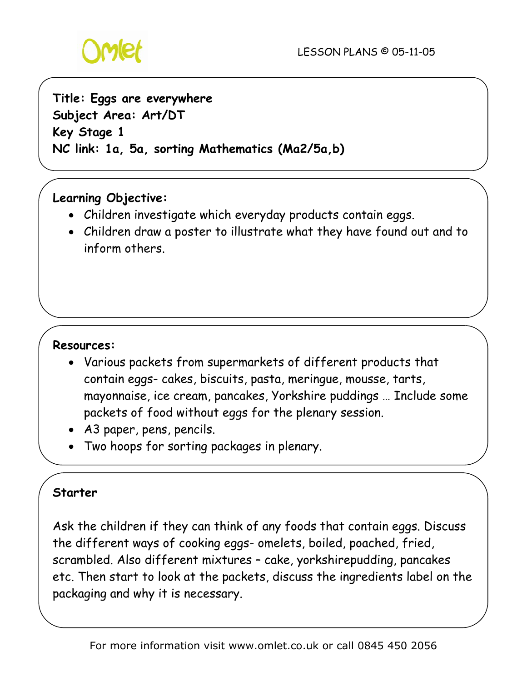

# **Title: Eggs are everywhere Subject Area: Art/DT Key Stage 1 NC link: 1a, 5a, sorting Mathematics (Ma2/5a,b)**

# **Learning Objective:**

- Children investigate which everyday products contain eggs.
- Children draw a poster to illustrate what they have found out and to inform others.

#### **Resources:**

- Various packets from supermarkets of different products that contain eggs- cakes, biscuits, pasta, meringue, mousse, tarts, mayonnaise, ice cream, pancakes, Yorkshire puddings … Include some packets of food without eggs for the plenary session.
- A3 paper, pens, pencils.
- Two hoops for sorting packages in plenary.

#### **Starter**

Ask the children if they can think of any foods that contain eggs. Discuss the different ways of cooking eggs- omelets, boiled, poached, fried, scrambled. Also different mixtures – cake, yorkshirepudding, pancakes etc. Then start to look at the packets, discuss the ingredients label on the packaging and why it is necessary.